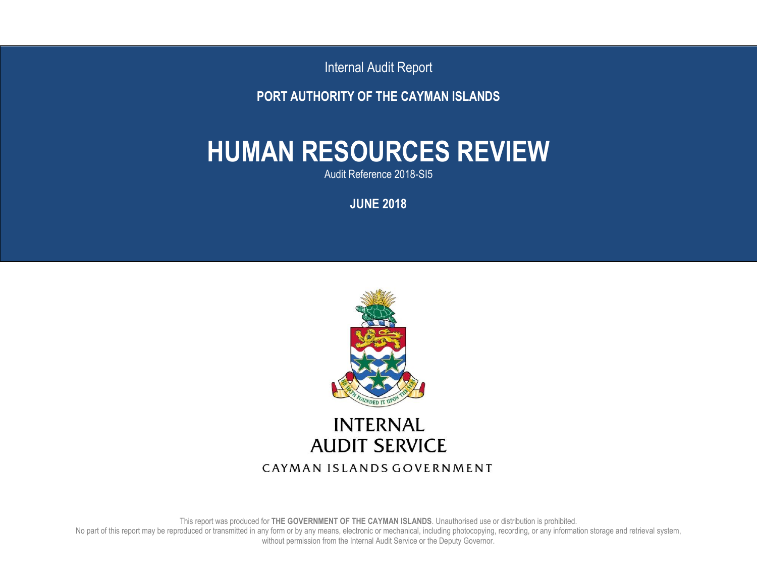Internal Audit Report

**PORT AUTHORITY OF THE CAYMAN ISLANDS**

# **HUMAN RESOURCES REVIEW**

Audit Reference 2018-SI5

**JUNE 2018**



This report was produced for **THE GOVERNMENT OF THE CAYMAN ISLANDS**. Unauthorised use or distribution is prohibited. No part of this report may be reproduced or transmitted in any form or by any means, electronic or mechanical, including photocopying, recording, or any information storage and retrieval system, without permission from the Internal Audit Service or the Deputy Governor.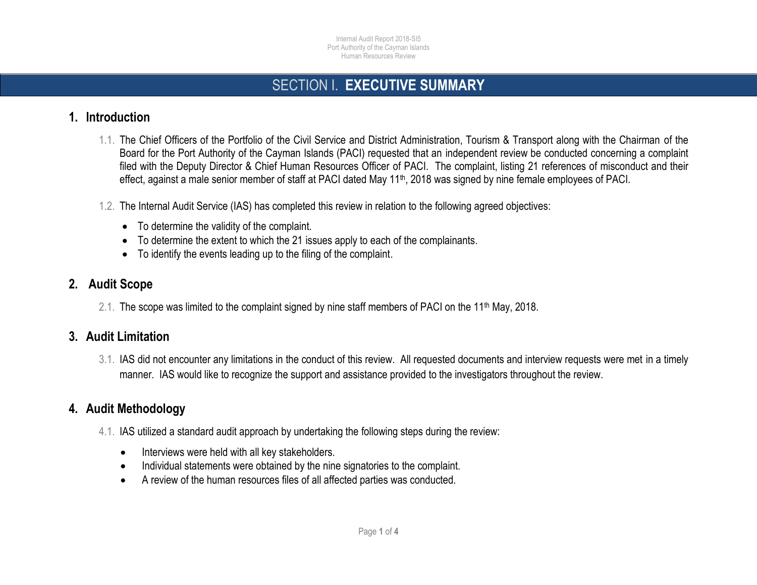### SECTION I. **EXECUTIVE SUMMARY**

#### **1. Introduction**

- 1.1. The Chief Officers of the Portfolio of the Civil Service and District Administration, Tourism & Transport along with the Chairman of the Board for the Port Authority of the Cayman Islands (PACI) requested that an independent review be conducted concerning a complaint filed with the Deputy Director & Chief Human Resources Officer of PACI. The complaint, listing 21 references of misconduct and their effect, against a male senior member of staff at PACI dated May 11<sup>th</sup>, 2018 was signed by nine female employees of PACI.
- 1.2. The Internal Audit Service (IAS) has completed this review in relation to the following agreed objectives: Ï
	- To determine the validity of the complaint.
	- To determine the extent to which the 21 issues apply to each of the complainants.
	- To identify the events leading up to the filing of the complaint.

#### **2. Audit Scope**

2.1. The scope was limited to the complaint signed by nine staff members of PACI on the 11<sup>th</sup> May, 2018.

#### **3. Audit Limitation**

3.1. IAS did not encounter any limitations in the conduct of this review. All requested documents and interview requests were met in a timely manner. IAS would like to recognize the support and assistance provided to the investigators throughout the review.

#### **4. Audit Methodology**

- 4.1. IAS utilized a standard audit approach by undertaking the following steps during the review:
	- Interviews were held with all key stakeholders.
	- Individual statements were obtained by the nine signatories to the complaint.
	- A review of the human resources files of all affected parties was conducted.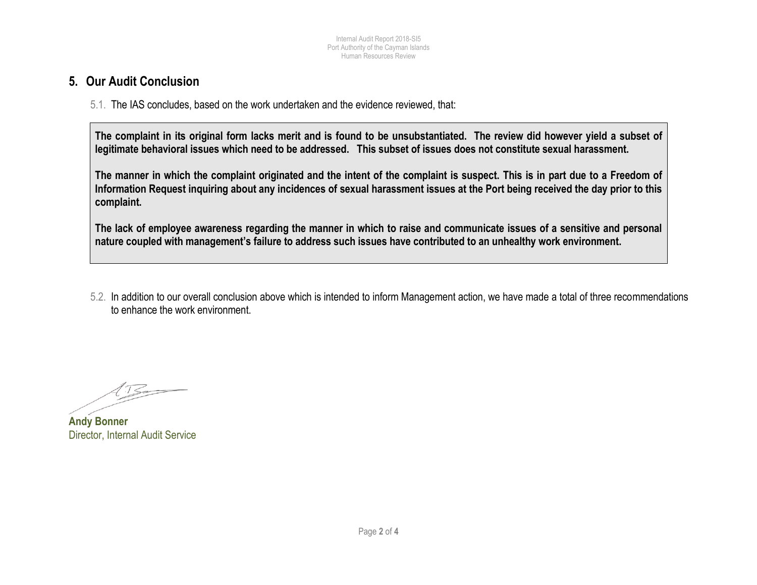#### **5. Our Audit Conclusion**

5.1. The IAS concludes, based on the work undertaken and the evidence reviewed, that:

**The complaint in its original form lacks merit and is found to be unsubstantiated. The review did however yield a subset of legitimate behavioral issues which need to be addressed. This subset of issues does not constitute sexual harassment.**

**The manner in which the complaint originated and the intent of the complaint is suspect. This is in part due to a Freedom of Information Request inquiring about any incidences of sexual harassment issues at the Port being received the day prior to this complaint.**

**The lack of employee awareness regarding the manner in which to raise and communicate issues of a sensitive and personal nature coupled with management's failure to address such issues have contributed to an unhealthy work environment.** 

5.2. In addition to our overall conclusion above which is intended to inform Management action, we have made a total of three recommendations to enhance the work environment.

 $4.75 -$ 

**Andy Bonner** Director, Internal Audit Service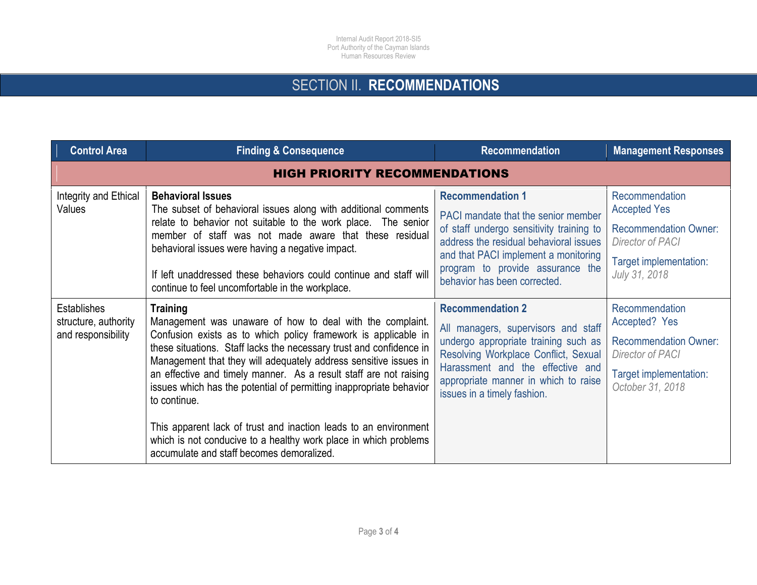## SECTION II. **RECOMMENDATIONS**

| <b>Control Area</b>                                              | <b>Finding &amp; Consequence</b>                                                                                                                                                                                                                                                                                                                                                                                                                                                                                                                                                                                                           | <b>Recommendation</b>                                                                                                                                                                                                                                            | <b>Management Responses</b>                                                                                                          |  |  |
|------------------------------------------------------------------|--------------------------------------------------------------------------------------------------------------------------------------------------------------------------------------------------------------------------------------------------------------------------------------------------------------------------------------------------------------------------------------------------------------------------------------------------------------------------------------------------------------------------------------------------------------------------------------------------------------------------------------------|------------------------------------------------------------------------------------------------------------------------------------------------------------------------------------------------------------------------------------------------------------------|--------------------------------------------------------------------------------------------------------------------------------------|--|--|
| <b>HIGH PRIORITY RECOMMENDATIONS</b>                             |                                                                                                                                                                                                                                                                                                                                                                                                                                                                                                                                                                                                                                            |                                                                                                                                                                                                                                                                  |                                                                                                                                      |  |  |
| Integrity and Ethical<br>Values                                  | <b>Behavioral Issues</b><br>The subset of behavioral issues along with additional comments<br>relate to behavior not suitable to the work place. The senior<br>member of staff was not made aware that these residual<br>behavioral issues were having a negative impact.<br>If left unaddressed these behaviors could continue and staff will<br>continue to feel uncomfortable in the workplace.                                                                                                                                                                                                                                         | <b>Recommendation 1</b><br>PACI mandate that the senior member<br>of staff undergo sensitivity training to<br>address the residual behavioral issues<br>and that PACI implement a monitoring<br>program to provide assurance the<br>behavior has been corrected. | Recommendation<br><b>Accepted Yes</b><br><b>Recommendation Owner:</b><br>Director of PACI<br>Target implementation:<br>July 31, 2018 |  |  |
| <b>Establishes</b><br>structure, authority<br>and responsibility | <b>Training</b><br>Management was unaware of how to deal with the complaint.<br>Confusion exists as to which policy framework is applicable in<br>these situations. Staff lacks the necessary trust and confidence in<br>Management that they will adequately address sensitive issues in<br>an effective and timely manner. As a result staff are not raising<br>issues which has the potential of permitting inappropriate behavior<br>to continue.<br>This apparent lack of trust and inaction leads to an environment<br>which is not conducive to a healthy work place in which problems<br>accumulate and staff becomes demoralized. | <b>Recommendation 2</b><br>All managers, supervisors and staff<br>undergo appropriate training such as<br>Resolving Workplace Conflict, Sexual<br>Harassment and the effective and<br>appropriate manner in which to raise<br>issues in a timely fashion.        | Recommendation<br>Accepted? Yes<br><b>Recommendation Owner:</b><br>Director of PACI<br>Target implementation:<br>October 31, 2018    |  |  |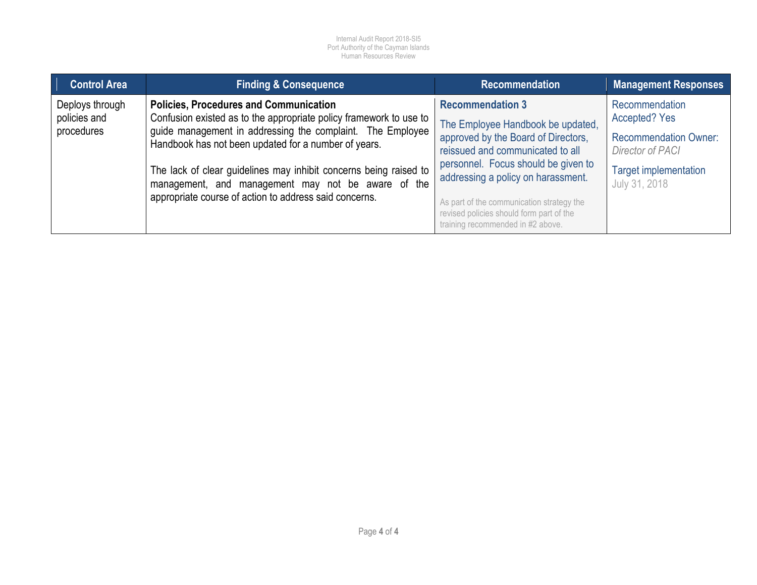| <b>Control Area</b>                           | <b>Finding &amp; Consequence</b>                                                                                                                                                                                                                                                                                                                                                                                               | <b>Recommendation</b>                                                                                                                                                                                                                                                                                                                              | <b>Management Responses</b>                                                                                                                        |
|-----------------------------------------------|--------------------------------------------------------------------------------------------------------------------------------------------------------------------------------------------------------------------------------------------------------------------------------------------------------------------------------------------------------------------------------------------------------------------------------|----------------------------------------------------------------------------------------------------------------------------------------------------------------------------------------------------------------------------------------------------------------------------------------------------------------------------------------------------|----------------------------------------------------------------------------------------------------------------------------------------------------|
| Deploys through<br>policies and<br>procedures | <b>Policies, Procedures and Communication</b><br>Confusion existed as to the appropriate policy framework to use to<br>guide management in addressing the complaint. The Employee<br>Handbook has not been updated for a number of years.<br>The lack of clear guidelines may inhibit concerns being raised to<br>management, and management may not be aware of the<br>appropriate course of action to address said concerns. | <b>Recommendation 3</b><br>The Employee Handbook be updated,<br>approved by the Board of Directors,<br>reissued and communicated to all<br>personnel. Focus should be given to<br>addressing a policy on harassment.<br>As part of the communication strategy the<br>revised policies should form part of the<br>training recommended in #2 above. | Recommendation<br><b>Accepted? Yes</b><br><b>Recommendation Owner:</b><br><b>Director of PACI</b><br><b>Target implementation</b><br>July 31, 2018 |